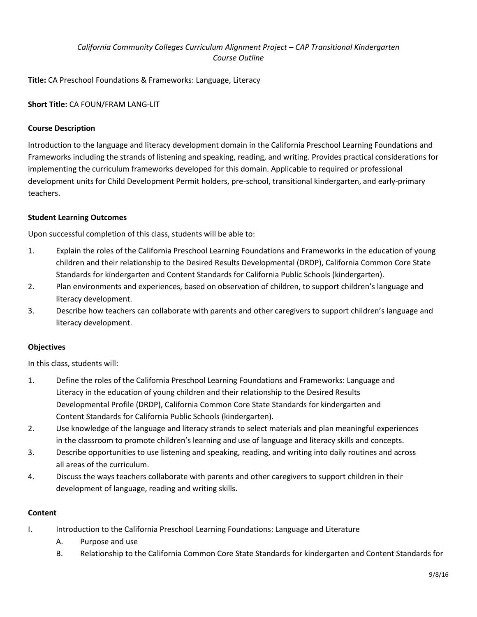# *California Community Colleges Curriculum Alignment Project – CAP Transitional Kindergarten Course Outline*

**Title:** CA Preschool Foundations & Frameworks: Language, Literacy

**Short Title:** CA FOUN/FRAM LANG-LIT

## **Course Description**

Introduction to the language and literacy development domain in the California Preschool Learning Foundations and Frameworks including the strands of listening and speaking, reading, and writing. Provides practical considerations for implementing the curriculum frameworks developed for this domain. Applicable to required or professional development units for Child Development Permit holders, pre-school, transitional kindergarten, and early-primary teachers.

### **Student Learning Outcomes**

Upon successful completion of this class, students will be able to:

- 1. Explain the roles of the California Preschool Learning Foundations and Frameworks in the education of young children and their relationship to the Desired Results Developmental (DRDP), California Common Core State Standards for kindergarten and Content Standards for California Public Schools (kindergarten).
- 2. Plan environments and experiences, based on observation of children, to support children's language and literacy development.
- 3. Describe how teachers can collaborate with parents and other caregivers to support children's language and literacy development.

### **Objectives**

In this class, students will:

- 1. Define the roles of the California Preschool Learning Foundations and Frameworks: Language and Literacy in the education of young children and their relationship to the Desired Results Developmental Profile (DRDP), California Common Core State Standards for kindergarten and Content Standards for California Public Schools (kindergarten).
- 2. Use knowledge of the language and literacy strands to select materials and plan meaningful experiences in the classroom to promote children's learning and use of language and literacy skills and concepts.
- 3. Describe opportunities to use listening and speaking, reading, and writing into daily routines and across all areas of the curriculum.
- 4. Discuss the ways teachers collaborate with parents and other caregivers to support children in their development of language, reading and writing skills.

### **Content**

- I. Introduction to the California Preschool Learning Foundations: Language and Literature
	- A. Purpose and use
	- B. Relationship to the California Common Core State Standards for kindergarten and Content Standards for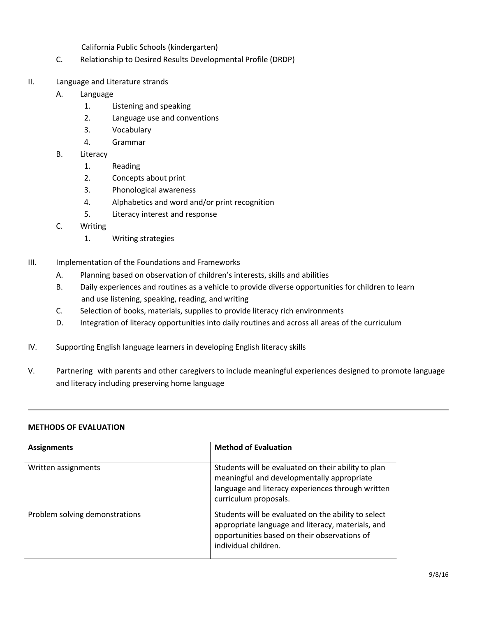California Public Schools (kindergarten)

- C. Relationship to Desired Results Developmental Profile (DRDP)
- II. Language and Literature strands
	- A. Language
		- 1. Listening and speaking
		- 2. Language use and conventions
		- 3. Vocabulary
		- 4. Grammar
	- B. Literacy
		- 1. Reading
		- 2. Concepts about print
		- 3. Phonological awareness
		- 4. Alphabetics and word and/or print recognition
		- 5. Literacy interest and response
	- C. Writing
		- 1. Writing strategies
- III. Implementation of the Foundations and Frameworks
	- A. Planning based on observation of children's interests, skills and abilities
	- B. Daily experiences and routines as a vehicle to provide diverse opportunities for children to learn and use listening, speaking, reading, and writing
	- C. Selection of books, materials, supplies to provide literacy rich environments
	- D. Integration of literacy opportunities into daily routines and across all areas of the curriculum
- IV. Supporting English language learners in developing English literacy skills
- V. Partnering with parents and other caregivers to include meaningful experiences designed to promote language and literacy including preserving home language

#### **METHODS OF EVALUATION**

| <b>Assignments</b>             | <b>Method of Evaluation</b>                                                                                                                                                      |
|--------------------------------|----------------------------------------------------------------------------------------------------------------------------------------------------------------------------------|
| Written assignments            | Students will be evaluated on their ability to plan<br>meaningful and developmentally appropriate<br>language and literacy experiences through written<br>curriculum proposals.  |
| Problem solving demonstrations | Students will be evaluated on the ability to select<br>appropriate language and literacy, materials, and<br>opportunities based on their observations of<br>individual children. |